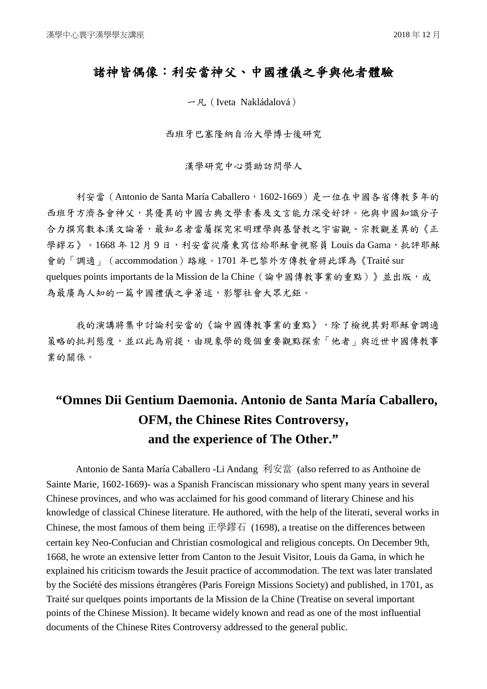## 諸神皆偶像:利安當神父、中國禮儀之爭與他者體驗

一凡(Iveta Nakládalová)

西班牙巴塞隆納自治大學博士後研究

漢學研究中心獎助訪問學人

利安當 (Antonio de Santa María Caballero, 1602-1669)是一位在中國各省傳教多年的 西班牙方濟各會神父,其優異的中國古典文學素養及文言能力深受好評。他與中國知識分子 合力撰寫數本漢文論著,最知名者當屬探究宋明理學與基督教之宇宙觀、宗教觀差異的《正 學繆石》。1668年12月9日,利安當從廣東寫信給耶穌會視察員 Louis da Gama,批評耶穌 會的「調適」(accommodation)路線。1701 年巴黎外方傳教會將此譯為《Traité sur quelques points importants de la Mission de la Chine (論中國傳教事業的重點)》並出版,成 為最廣為人知的一篇中國禮儀之爭著述,影響社會大眾尤鉅。

我的演講將集中討論利安當的《論中國傳教事業的重點》,除了檢視其對耶穌會調適 策略的批判態度,並以此為前提,由現象學的幾個重要觀點探索「他者」與近世中國傳教事 業的關係。

## **"Omnes Dii Gentium Daemonia. Antonio de Santa María Caballero, OFM, the Chinese Rites Controversy, and the experience of The Other."**

Antonio de Santa María Caballero -Li Andang 利安當 (also referred to as Anthoine de Sainte Marie, 1602-1669)- was a Spanish Franciscan missionary who spent many years in several Chinese provinces, and who was acclaimed for his good command of literary Chinese and his knowledge of classical Chinese literature. He authored, with the help of the literati, several works in Chinese, the most famous of them being 正學鏐石 (1698), a treatise on the differences between certain key Neo-Confucian and Christian cosmological and religious concepts. On December 9th, 1668, he wrote an extensive letter from Canton to the Jesuit Visitor, Louis da Gama, in which he explained his criticism towards the Jesuit practice of accommodation. The text was later translated by the Société des missions étrangères (Paris Foreign Missions Society) and published, in 1701, as Traité sur quelques points importants de la Mission de la Chine (Treatise on several important points of the Chinese Mission). It became widely known and read as one of the most influential documents of the Chinese Rites Controversy addressed to the general public.